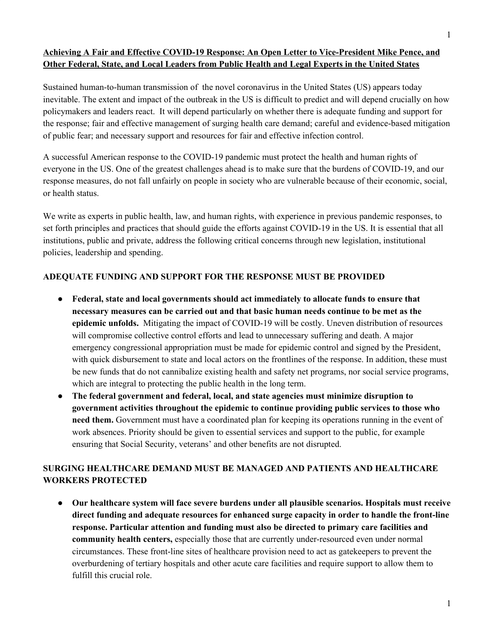## **Achieving A Fair and Effective COVID-19 Response: An Open Letter to Vice-President Mike Pence, and Other Federal, State, and Local Leaders from Public Health and Legal Experts in the United States**

Sustained human-to-human transmission of the novel coronavirus in the United States (US) appears today inevitable. The extent and impact of the outbreak in the US is difficult to predict and will depend crucially on how policymakers and leaders react. It will depend particularly on whether there is adequate funding and support for the response; fair and effective management of surging health care demand; careful and evidence-based mitigation of public fear; and necessary support and resources for fair and effective infection control.

A successful American response to the COVID-19 pandemic must protect the health and human rights of everyone in the US. One of the greatest challenges ahead is to make sure that the burdens of COVID-19, and our response measures, do not fall unfairly on people in society who are vulnerable because of their economic, social, or health status.

We write as experts in public health, law, and human rights, with experience in previous pandemic responses, to set forth principles and practices that should guide the efforts against COVID-19 in the US. It is essential that all institutions, public and private, address the following critical concerns through new legislation, institutional policies, leadership and spending.

#### **ADEQUATE FUNDING AND SUPPORT FOR THE RESPONSE MUST BE PROVIDED**

- **● Federal, state and local governments should act immediately to allocate funds to ensure that necessary measures can be carried out and that basic human needs continue to be met as the epidemic unfolds.** Mitigating the impact of COVID-19 will be costly. Uneven distribution of resources will compromise collective control efforts and lead to unnecessary suffering and death. A major emergency congressional appropriation must be made for epidemic control and signed by the President, with quick disbursement to state and local actors on the frontlines of the response. In addition, these must be new funds that do not cannibalize existing health and safety net programs, nor social service programs, which are integral to protecting the public health in the long term.
- **● The federal government and federal, local, and state agencies must minimize disruption to government activities throughout the epidemic to continue providing public services to those who need them.** Government must have a coordinated plan for keeping its operations running in the event of work absences. Priority should be given to essential services and support to the public, for example ensuring that Social Security, veterans' and other benefits are not disrupted.

## **SURGING HEALTHCARE DEMAND MUST BE MANAGED AND PATIENTS AND HEALTHCARE WORKERS PROTECTED**

● **Our healthcare system will face severe burdens under all plausible scenarios. Hospitals must receive direct funding and adequate resources for enhanced surge capacity in order to handle the front-line response. Particular attention and funding must also be directed to primary care facilities and community health centers,** especially those that are currently under-resourced even under normal circumstances. These front-line sites of healthcare provision need to act as gatekeepers to prevent the overburdening of tertiary hospitals and other acute care facilities and require support to allow them to fulfill this crucial role.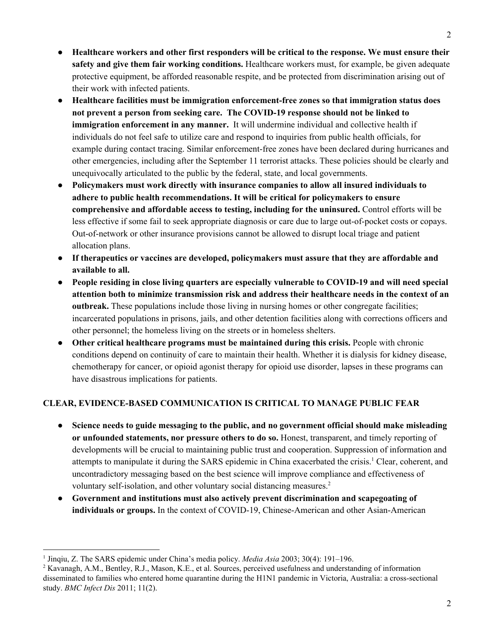- **Healthcare workers and other first responders will be critical to the response. We must ensure their safety and give them fair working conditions.** Healthcare workers must, for example, be given adequate protective equipment, be afforded reasonable respite, and be protected from discrimination arising out of their work with infected patients.
- **Healthcare facilities must be immigration enforcement-free zones so that immigration status does not prevent a person from seeking care. The COVID-19 response should not be linked to immigration enforcement in any manner.** It will undermine individual and collective health if individuals do not feel safe to utilize care and respond to inquiries from public health officials, for example during contact tracing. Similar enforcement-free zones have been declared during hurricanes and other emergencies, including after the September 11 terrorist attacks. These policies should be clearly and unequivocally articulated to the public by the federal, state, and local governments.
- **Policymakers must work directly with insurance companies to allow all insured individuals to adhere to public health recommendations. It will be critical for policymakers to ensure comprehensive and affordable access to testing, including for the uninsured.** Control efforts will be less effective if some fail to seek appropriate diagnosis or care due to large out-of-pocket costs or copays. Out-of-network or other insurance provisions cannot be allowed to disrupt local triage and patient allocation plans.
- **● If therapeutics or vaccines are developed, policymakers must assure that they are affordable and available to all.**
- **People residing in close living quarters are especially vulnerable to COVID-19 and will need special attention both to minimize transmission risk and address their healthcare needs in the context of an outbreak.** These populations include those living in nursing homes or other congregate facilities; incarcerated populations in prisons, jails, and other detention facilities along with corrections officers and other personnel; the homeless living on the streets or in homeless shelters.
- **Other critical healthcare programs must be maintained during this crisis.** People with chronic conditions depend on continuity of care to maintain their health. Whether it is dialysis for kidney disease, chemotherapy for cancer, or opioid agonist therapy for opioid use disorder, lapses in these programs can have disastrous implications for patients.

### **CLEAR, EVIDENCE-BASED COMMUNICATION IS CRITICAL TO MANAGE PUBLIC FEAR**

- **Science needs to guide messaging to the public, and no government official should make misleading or unfounded statements, nor pressure others to do so.** Honest, transparent, and timely reporting of developments will be crucial to maintaining public trust and cooperation. Suppression of information and attempts to manipulate it during the SARS epidemic in China exacerbated the crisis.<sup>1</sup> Clear, coherent, and uncontradictory messaging based on the best science will improve compliance and effectiveness of voluntary self-isolation, and other voluntary social distancing measures. 2
- **Government and institutions must also actively prevent discrimination and scapegoating of individuals or groups.** In the context of COVID-19, Chinese-American and other Asian-American

<sup>1</sup> Jinqiu, Z. The SARS epidemic under China's media policy. *Media Asia* 2003; 30(4): 191–196.

<sup>&</sup>lt;sup>2</sup> Kavanagh, A.M., Bentley, R.J., Mason, K.E., et al. Sources, perceived usefulness and understanding of information disseminated to families who entered home quarantine during the H1N1 pandemic in Victoria, Australia: a cross-sectional study. *BMC Infect Dis* 2011; 11(2).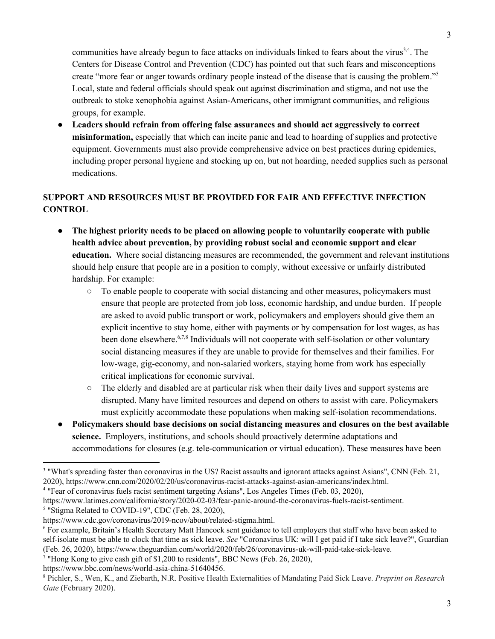communities have already begun to face attacks on individuals linked to fears about the virus<sup>3,4</sup>. The Centers for Disease Control and Prevention (CDC) has pointed out that such fears and misconceptions create "more fear or anger towards ordinary people instead of the disease that is causing the problem." 5 Local, state and federal officials should speak out against discrimination and stigma, and not use the outbreak to stoke xenophobia against Asian-Americans, other immigrant communities, and religious groups, for example.

● **Leaders should refrain from offering false assurances and should act aggressively to correct misinformation,** especially that which can incite panic and lead to hoarding of supplies and protective equipment. Governments must also provide comprehensive advice on best practices during epidemics, including proper personal hygiene and stocking up on, but not hoarding, needed supplies such as personal medications.

# **SUPPORT AND RESOURCES MUST BE PROVIDED FOR FAIR AND EFFECTIVE INFECTION CONTROL**

- **The highest priority needs to be placed on allowing people to voluntarily cooperate with public health advice about prevention, by providing robust social and economic support and clear education.** Where social distancing measures are recommended, the government and relevant institutions should help ensure that people are in a position to comply, without excessive or unfairly distributed hardship. For example:
	- To enable people to cooperate with social distancing and other measures, policymakers must ensure that people are protected from job loss, economic hardship, and undue burden. If people are asked to avoid public transport or work, policymakers and employers should give them an explicit incentive to stay home, either with payments or by compensation for lost wages, as has been done elsewhere.<sup>6,7,8</sup> Individuals will not cooperate with self-isolation or other voluntary social distancing measures if they are unable to provide for themselves and their families. For low-wage, gig-economy, and non-salaried workers, staying home from work has especially critical implications for economic survival.
	- The elderly and disabled are at particular risk when their daily lives and support systems are disrupted. Many have limited resources and depend on others to assist with care. Policymakers must explicitly accommodate these populations when making self-isolation recommendations.
- **Policymakers should base decisions on social distancing measures and closures on the best available science.** Employers, institutions, and schools should proactively determine adaptations and accommodations for closures (e.g. tele-communication or virtual education). These measures have been

<sup>4</sup> "Fear of coronavirus fuels racist sentiment targeting Asians", Los Angeles Times (Feb. 03, 2020),

<sup>5</sup> "Stigma Related to COVID-19", CDC (Feb. 28, 2020),

https://www.bbc.com/news/world-asia-china-51640456.

<sup>&</sup>lt;sup>3</sup> "What's spreading faster than coronavirus in the US? Racist assaults and ignorant attacks against Asians", CNN (Feb. 21, 2020), https://www.cnn.com/2020/02/20/us/coronavirus-racist-attacks-against-asian-americans/index.html.

https://www.latimes.com/california/story/2020-02-03/fear-panic-around-the-coronavirus-fuels-racist-sentiment.

https://www.cdc.gov/coronavirus/2019-ncov/about/related-stigma.html.

<sup>6</sup> For example, Britain's Health Secretary Matt Hancock sent guidance to tell employers that staff who have been asked to self-isolate must be able to clock that time as sick leave. *See* "Coronavirus UK: will I get paid if I take sick leave?", Guardian (Feb. 26, 2020), https://www.theguardian.com/world/2020/feb/26/coronavirus-uk-will-paid-take-sick-leave.

<sup>&</sup>lt;sup>7</sup> "Hong Kong to give cash gift of \$1,200 to residents", BBC News (Feb. 26, 2020),

<sup>8</sup> Pichler, S., Wen, K., and Ziebarth, N.R. Positive Health Externalities of Mandating Paid Sick Leave. *Preprint on Research Gate* (February 2020).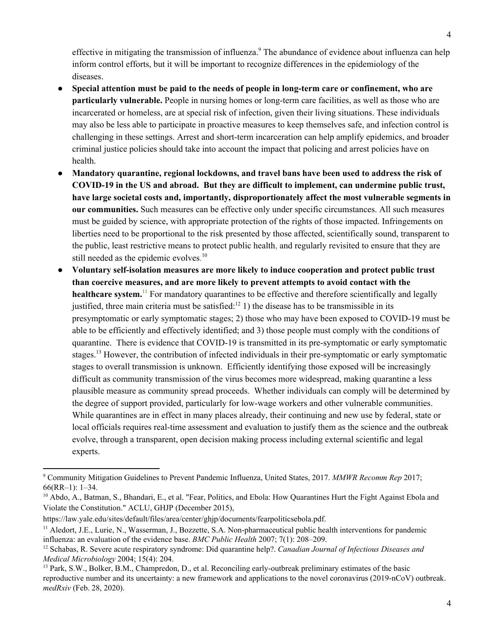effective in mitigating the transmission of influenza.<sup>9</sup> The abundance of evidence about influenza can help inform control efforts, but it will be important to recognize differences in the epidemiology of the diseases.

- **● Special attention must be paid to the needs of people in long-term care or confinement, who are particularly vulnerable.** People in nursing homes or long-term care facilities, as well as those who are incarcerated or homeless, are at special risk of infection, given their living situations. These individuals may also be less able to participate in proactive measures to keep themselves safe, and infection control is challenging in these settings. Arrest and short-term incarceration can help amplify epidemics, and broader criminal justice policies should take into account the impact that policing and arrest policies have on health.
- **Mandatory quarantine, regional lockdowns, and travel bans have been used to address the risk of COVID-19 in the US and abroad. But they are difficult to implement, can undermine public trust, have large societal costs and, importantly, disproportionately affect the most vulnerable segments in our communities.** Such measures can be effective only under specific circumstances. All such measures must be guided by science, with appropriate protection of the rights of those impacted. Infringements on liberties need to be proportional to the risk presented by those affected, scientifically sound, transparent to the public, least restrictive means to protect public health, and regularly revisited to ensure that they are still needed as the epidemic evolves.<sup>10</sup>
- **Voluntary self-isolation measures are more likely to induce cooperation and protect public trust than coercive measures, and are more likely to prevent attempts to avoid contact with the** healthcare system.<sup>11</sup> For mandatory quarantines to be effective and therefore scientifically and legally justified, three main criteria must be satisfied: $^{12}$  1) the disease has to be transmissible in its presymptomatic or early symptomatic stages; 2) those who may have been exposed to COVID-19 must be able to be efficiently and effectively identified; and 3) those people must comply with the conditions of quarantine. There is evidence that COVID-19 is transmitted in its pre-symptomatic or early symptomatic stages.<sup>13</sup> However, the contribution of infected individuals in their pre-symptomatic or early symptomatic stages to overall transmission is unknown. Efficiently identifying those exposed will be increasingly difficult as community transmission of the virus becomes more widespread, making quarantine a less plausible measure as community spread proceeds. Whether individuals can comply will be determined by the degree of support provided, particularly for low-wage workers and other vulnerable communities. While quarantines are in effect in many places already, their continuing and new use by federal, state or local officials requires real-time assessment and evaluation to justify them as the science and the outbreak evolve, through a transparent, open decision making process including external scientific and legal experts.

<sup>9</sup> Community Mitigation Guidelines to Prevent Pandemic Influenza, United States, 2017. *MMWR Recomm Rep* 2017; 66(RR–1): 1–34.

<sup>&</sup>lt;sup>10</sup> Abdo, A., Batman, S., Bhandari, E., et al. "Fear, Politics, and Ebola: How Quarantines Hurt the Fight Against Ebola and Violate the Constitution." ACLU, GHJP (December 2015),

https://law.yale.edu/sites/default/files/area/center/ghjp/documents/fearpoliticsebola.pdf.

<sup>&</sup>lt;sup>11</sup> Aledort, J.E., Lurie, N., Wasserman, J., Bozzette, S.A. Non-pharmaceutical public health interventions for pandemic influenza: an evaluation of the evidence base. *BMC Public Health* 2007; 7(1): 208–209.

<sup>12</sup> Schabas, R. Severe acute respiratory syndrome: Did quarantine help?. *Canadian Journal of Infectious Diseases and Medical Microbiology* 2004; 15(4): 204.

<sup>&</sup>lt;sup>13</sup> Park, S.W., Bolker, B.M., Champredon, D., et al. Reconciling early-outbreak preliminary estimates of the basic reproductive number and its uncertainty: a new framework and applications to the novel coronavirus (2019-nCoV) outbreak. *medRxiv* (Feb. 28, 2020).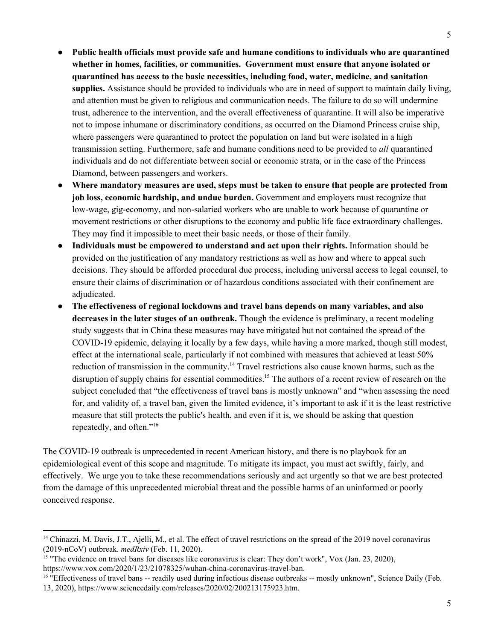- **Public health officials must provide safe and humane conditions to individuals who are quarantined whether in homes, facilities, or communities. Government must ensure that anyone isolated or quarantined has access to the basic necessities, including food, water, medicine, and sanitation supplies.** Assistance should be provided to individuals who are in need of support to maintain daily living, and attention must be given to religious and communication needs. The failure to do so will undermine trust, adherence to the intervention, and the overall effectiveness of quarantine. It will also be imperative not to impose inhumane or discriminatory conditions, as occurred on the Diamond Princess cruise ship, where passengers were quarantined to protect the population on land but were isolated in a high transmission setting. Furthermore, safe and humane conditions need to be provided to *all* quarantined individuals and do not differentiate between social or economic strata, or in the case of the Princess Diamond, between passengers and workers.
- **Where mandatory measures are used, steps must be taken to ensure that people are protected from job loss, economic hardship, and undue burden.** Government and employers must recognize that low-wage, gig-economy, and non-salaried workers who are unable to work because of quarantine or movement restrictions or other disruptions to the economy and public life face extraordinary challenges. They may find it impossible to meet their basic needs, or those of their family.
- **Individuals must be empowered to understand and act upon their rights.** Information should be provided on the justification of any mandatory restrictions as well as how and where to appeal such decisions. They should be afforded procedural due process, including universal access to legal counsel, to ensure their claims of discrimination or of hazardous conditions associated with their confinement are adjudicated.
- **The effectiveness of regional lockdowns and travel bans depends on many variables, and also decreases in the later stages of an outbreak.** Though the evidence is preliminary, a recent modeling study suggests that in China these measures may have mitigated but not contained the spread of the COVID-19 epidemic, delaying it locally by a few days, while having a more marked, though still modest, effect at the international scale, particularly if not combined with measures that achieved at least 50% reduction of transmission in the community.<sup>14</sup> Travel restrictions also cause known harms, such as the disruption of supply chains for essential commodities.<sup>15</sup> The authors of a recent review of research on the subject concluded that "the effectiveness of travel bans is mostly unknown" and "when assessing the need for, and validity of, a travel ban, given the limited evidence, it's important to ask if it is the least restrictive measure that still protects the public's health, and even if it is, we should be asking that question repeatedly, and often." 16

The COVID-19 outbreak is unprecedented in recent American history, and there is no playbook for an epidemiological event of this scope and magnitude. To mitigate its impact, you must act swiftly, fairly, and effectively. We urge you to take these recommendations seriously and act urgently so that we are best protected from the damage of this unprecedented microbial threat and the possible harms of an uninformed or poorly conceived response.

<sup>&</sup>lt;sup>14</sup> Chinazzi, M, Davis, J.T., Ajelli, M., et al. The effect of travel restrictions on the spread of the 2019 novel coronavirus (2019-nCoV) outbreak. *medRxiv* (Feb. 11, 2020).

<sup>&</sup>lt;sup>15</sup> "The evidence on travel bans for diseases like coronavirus is clear: They don't work", Vox (Jan. 23, 2020), https://www.vox.com/2020/1/23/21078325/wuhan-china-coronavirus-travel-ban.

<sup>&</sup>lt;sup>16</sup> "Effectiveness of travel bans -- readily used during infectious disease outbreaks -- mostly unknown", Science Daily (Feb.

<sup>13,</sup> 2020), https://www.sciencedaily.com/releases/2020/02/200213175923.htm.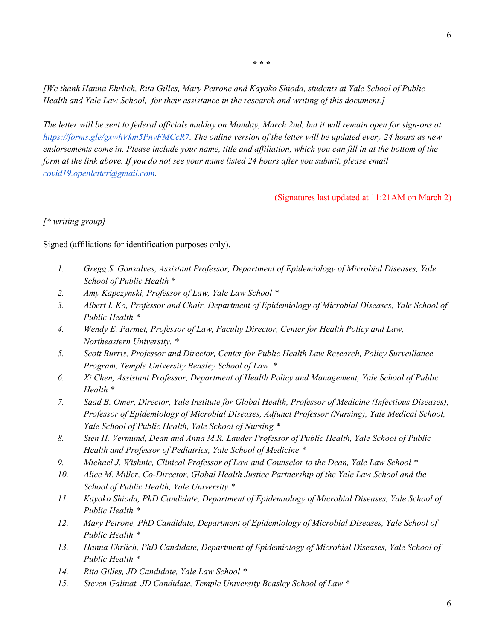**\* \* \***

*[We thank Hanna Ehrlich, Rita Gilles, Mary Petrone and Kayoko Shioda, students at Yale School of Public Health and Yale Law School, for their assistance in the research and writing of this document.]*

The letter will be sent to federal officials midday on Monday, March 2nd, but it will remain open for sign-ons at *[https://forms.gle/gxwhVkm5PnvFMCcR7](https://nam05.safelinks.protection.outlook.com/?url=https%3A%2F%2Fforms.gle%2FgxwhVkm5PnvFMCcR7&data=02%7C01%7Cgregg.gonsalves%40yale.edu%7Cb7b8538f62244566795c08d7bebcf0df%7Cdd8cbebb21394df8b4114e3e87abeb5c%7C0%7C0%7C637187591028279077&sdata=2aH7TOo5PfPB8P5JkEaEEtJp16cmKO9dyYvxbDV%2BQsA%3D&reserved=0). The online version of the letter will be updated every 24 hours as new* endorsements come in. Please include your name, title and affiliation, which you can fill in at the bottom of the form at the link above. If you do not see your name listed 24 hours after you submit, please email *[covid19.openletter@gmail.com](mailto:covid19.openletter@gmail.com).*

(Signatures last updated at 11:21AM on March 2)

### *[\* writing group]*

Signed (affiliations for identification purposes only),

- *1. Gregg S. Gonsalves, Assistant Professor, Department of Epidemiology of Microbial Diseases, Yale School of Public Health \**
- *2. Amy Kapczynski, Professor of Law, Yale Law School \**
- *3. Albert I. Ko, Professor and Chair, Department of Epidemiology of Microbial Diseases, Yale School of Public Health \**
- *4. Wendy E. Parmet, Professor of Law, Faculty Director, Center for Health Policy and Law, Northeastern University. \**
- *5. Scott Burris, Professor and Director, Center for Public Health Law Research, Policy Surveillance Program, Temple University Beasley School of Law \**
- *6. Xi Chen, Assistant Professor, Department of Health Policy and Management, Yale School of Public Health \**
- *7. Saad B. Omer, Director, Yale Institute for Global Health, Professor of Medicine (Infectious Diseases), Professor of Epidemiology of Microbial Diseases, Adjunct Professor (Nursing), Yale Medical School, Yale School of Public Health, Yale School of Nursing \**
- *8. Sten H. Vermund, Dean and Anna M.R. Lauder Professor of Public Health, Yale School of Public Health and Professor of Pediatrics, Yale School of Medicine \**
- *9. Michael J. Wishnie, Clinical Professor of Law and Counselor to the Dean, Yale Law School \**
- *10. Alice M. Miller, Co-Director, Global Health Justice Partnership of the Yale Law School and the School of Public Health, Yale University \**
- *11. Kayoko Shioda, PhD Candidate, Department of Epidemiology of Microbial Diseases, Yale School of Public Health \**
- *12. Mary Petrone, PhD Candidate, Department of Epidemiology of Microbial Diseases, Yale School of Public Health \**
- *13. Hanna Ehrlich, PhD Candidate, Department of Epidemiology of Microbial Diseases, Yale School of Public Health \**
- *14. Rita Gilles, JD Candidate, Yale Law School \**
- *15. Steven Galinat, JD Candidate, Temple University Beasley School of Law \**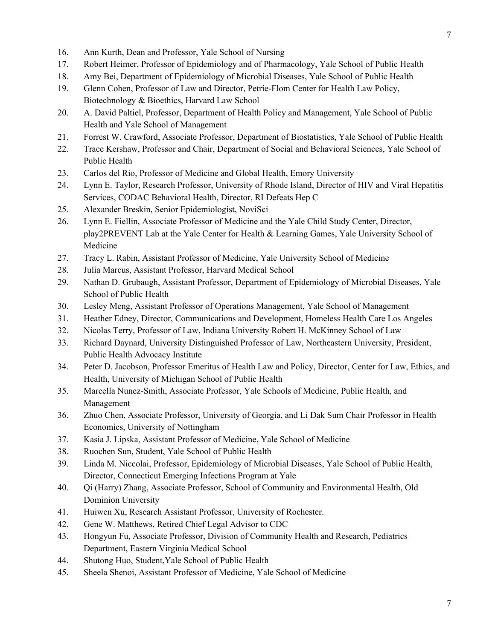- 16. Ann Kurth, Dean and Professor, Yale School of Nursing
- 17. Robert Heimer, Professor of Epidemiology and of Pharmacology, Yale School of Public Health
- 18. Amy Bei, Department of Epidemiology of Microbial Diseases, Yale School of Public Health
- 19. Glenn Cohen, Professor of Law and Director, Petrie-Flom Center for Health Law Policy, Biotechnology & Bioethics, Harvard Law School
- 20. A. David Paltiel, Professor, Department of Health Policy and Management, Yale School of Public Health and Yale School of Management
- 21. Forrest W. Crawford, Associate Professor, Department of Biostatistics, Yale School of Public Health
- 22. Trace Kershaw, Professor and Chair, Department of Social and Behavioral Sciences, Yale School of Public Health
- 23. Carlos del Rio, Professor of Medicine and Global Health, Emory University
- 24. Lynn E. Taylor, Research Professor, University of Rhode Island, Director of HIV and Viral Hepatitis Services, CODAC Behavioral Health, Director, RI Defeats Hep C
- 25. Alexander Breskin, Senior Epidemiologist, NoviSci
- 26. Lynn E. Fiellin, Associate Professor of Medicine and the Yale Child Study Center, Director, play2PREVENT Lab at the Yale Center for Health & Learning Games, Yale University School of Medicine
- 27. Tracy L. Rabin, Assistant Professor of Medicine, Yale University School of Medicine
- 28. Julia Marcus, Assistant Professor, Harvard Medical School
- 29. Nathan D. Grubaugh, Assistant Professor, Department of Epidemiology of Microbial Diseases, Yale School of Public Health
- 30. Lesley Meng, Assistant Professor of Operations Management, Yale School of Management
- 31. Heather Edney, Director, Communications and Development, Homeless Health Care Los Angeles
- 32. Nicolas Terry, Professor of Law, Indiana University Robert H. McKinney School of Law
- 33. Richard Daynard, University Distinguished Professor of Law, Northeastern University, President, Public Health Advocacy Institute
- 34. Peter D. Jacobson, Professor Emeritus of Health Law and Policy, Director, Center for Law, Ethics, and Health, University of Michigan School of Public Health
- 35. Marcella Nunez-Smith, Associate Professor, Yale Schools of Medicine, Public Health, and Management
- 36. Zhuo Chen, Associate Professor, University of Georgia, and Li Dak Sum Chair Professor in Health Economics, University of Nottingham
- 37. Kasia J. Lipska, Assistant Professor of Medicine, Yale School of Medicine
- 38. Ruochen Sun, Student, Yale School of Public Health
- 39. Linda M. Niccolai, Professor, Epidemiology of Microbial Diseases, Yale School of Public Health, Director, Connecticut Emerging Infections Program at Yale
- 40. Qi (Harry) Zhang, Associate Professor, School of Community and Environmental Health, Old Dominion University
- 41. Huiwen Xu, Research Assistant Professor, University of Rochester.
- 42. Gene W. Matthews, Retired Chief Legal Advisor to CDC
- 43. Hongyun Fu, Associate Professor, Division of Community Health and Research, Pediatrics Department, Eastern Virginia Medical School
- 44. Shutong Huo, Student,Yale School of Public Health
- 45. Sheela Shenoi, Assistant Professor of Medicine, Yale School of Medicine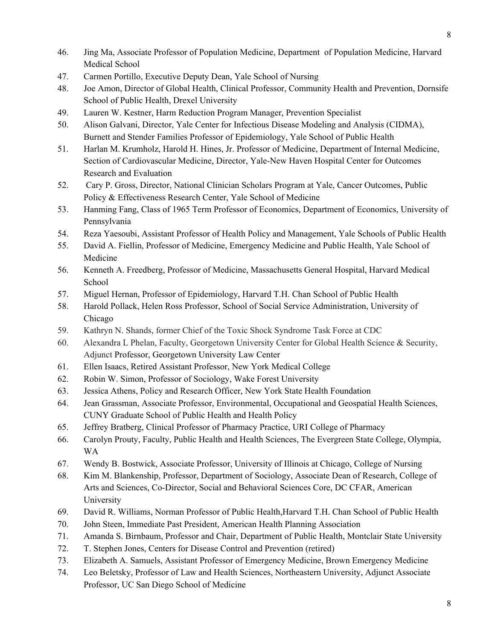- 46. Jing Ma, Associate Professor of Population Medicine, Department of Population Medicine, Harvard Medical School
- 47. Carmen Portillo, Executive Deputy Dean, Yale School of Nursing
- 48. Joe Amon, Director of Global Health, Clinical Professor, Community Health and Prevention, Dornsife School of Public Health, Drexel University
- 49. Lauren W. Kestner, Harm Reduction Program Manager, Prevention Specialist
- 50. Alison Galvani, Director, Yale Center for Infectious Disease Modeling and Analysis (CIDMA), Burnett and Stender Families Professor of Epidemiology, Yale School of Public Health
- 51. Harlan M. Krumholz, Harold H. Hines, Jr. Professor of Medicine, Department of Internal Medicine, Section of Cardiovascular Medicine, Director, Yale-New Haven Hospital Center for Outcomes Research and Evaluation
- 52. Cary P. Gross, Director, [Nati](http://nationalcsp.org/)onal Clinician Scholars Program at Yale, Cancer Outcomes, Public Policy & Effectiveness Research Center, Yale School of Medicine
- 53. Hanming Fang, Class of 1965 Term Professor of Economics, Department of Economics, University of Pennsylvania
- 54. Reza Yaesoubi, Assistant Professor of Health Policy and Management, Yale Schools of Public Health
- 55. David A. Fiellin, Professor of Medicine, Emergency Medicine and Public Health, Yale School of Medicine
- 56. Kenneth A. Freedberg, Professor of Medicine, Massachusetts General Hospital, Harvard Medical School
- 57. Miguel Hernan, Professor of Epidemiology, Harvard T.H. Chan School of Public Health
- 58. Harold Pollack, Helen Ross Professor, School of Social Service Administration, University of Chicago
- 59. Kathryn N. Shands, former Chief of the Toxic Shock Syndrome Task Force at CDC
- 60. Alexandra L Phelan, Faculty, Georgetown University Center for Global Health Science & Security, Adjunct Professor, Georgetown University Law Center
- 61. Ellen Isaacs, Retired Assistant Professor, New York Medical College
- 62. Robin W. Simon, Professor of Sociology, Wake Forest University
- 63. Jessica Athens, Policy and Research Officer, New York State Health Foundation
- 64. Jean Grassman, Associate Professor, Environmental, Occupational and Geospatial Health Sciences, CUNY Graduate School of Public Health and Health Policy
- 65. Jeffrey Bratberg, Clinical Professor of Pharmacy Practice, URI College of Pharmacy
- 66. Carolyn Prouty, Faculty, Public Health and Health Sciences, The Evergreen State College, Olympia, WA
- 67. Wendy B. Bostwick, Associate Professor, University of Illinois at Chicago, College of Nursing
- 68. Kim M. Blankenship, Professor, Department of Sociology, Associate Dean of Research, College of Arts and Sciences, Co-Director, Social and Behavioral Sciences Core, DC CFAR, American University
- 69. David R. Williams, Norman Professor of Public Health,Harvard T.H. Chan School of Public Health
- 70. John Steen, Immediate Past President, American Health Planning Association
- 71. Amanda S. Birnbaum, Professor and Chair, Department of Public Health, Montclair State University
- 72. T. Stephen Jones, Centers for Disease Control and Prevention (retired)
- 73. Elizabeth A. Samuels, Assistant Professor of Emergency Medicine, Brown Emergency Medicine
- 74. Leo Beletsky, Professor of Law and Health Sciences, Northeastern University, Adjunct Associate Professor, UC San Diego School of Medicine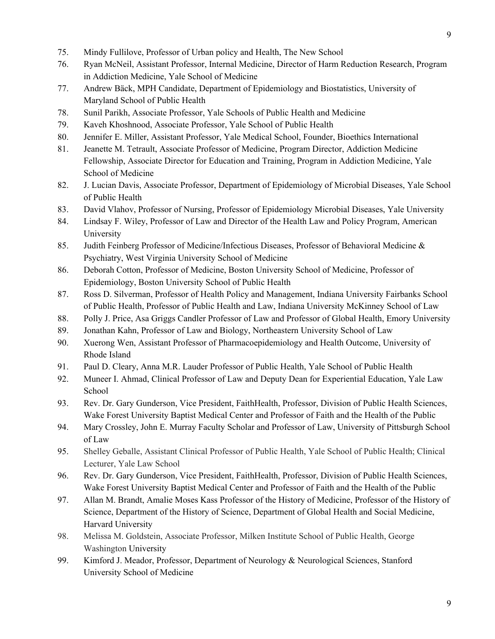- 75. Mindy Fullilove, Professor of Urban policy and Health, The New School
- 76. Ryan McNeil, Assistant Professor, Internal Medicine, Director of Harm Reduction Research, Program in Addiction Medicine, Yale School of Medicine
- 77. Andrew Bäck, MPH Candidate, Department of Epidemiology and Biostatistics, University of Maryland School of Public Health
- 78. Sunil Parikh, Associate Professor, Yale Schools of Public Health and Medicine
- 79. Kaveh Khoshnood, Associate Professor, Yale School of Public Health
- 80. Jennifer E. Miller, Assistant Professor, Yale Medical School, Founder, Bioethics International
- 81. Jeanette M. Tetrault, Associate Professor of Medicine, Program Director, Addiction Medicine Fellowship, Associate Director for Education and Training, Program in Addiction Medicine, Yale School of Medicine
- 82. J. Lucian Davis, Associate Professor, Department of Epidemiology of Microbial Diseases, Yale School of Public Health
- 83. David Vlahov, Professor of Nursing, Professor of Epidemiology Microbial Diseases, Yale University
- 84. Lindsay F. Wiley, Professor of Law and Director of the Health Law and Policy Program, American University
- 85. Judith Feinberg Professor of Medicine/Infectious Diseases, Professor of Behavioral Medicine & Psychiatry, West Virginia University School of Medicine
- 86. Deborah Cotton, Professor of Medicine, Boston University School of Medicine, Professor of Epidemiology, Boston University School of Public Health
- 87. Ross D. Silverman, Professor of Health Policy and Management, Indiana University Fairbanks School of Public Health, Professor of Public Health and Law, Indiana University McKinney School of Law
- 88. Polly J. Price, Asa Griggs Candler Professor of Law and Professor of Global Health, Emory University
- 89. Jonathan Kahn, Professor of Law and Biology, Northeastern University School of Law
- 90. Xuerong Wen, Assistant Professor of Pharmacoepidemiology and Health Outcome, University of Rhode Island
- 91. Paul D. Cleary, Anna M.R. Lauder Professor of Public Health, Yale School of Public Health
- 92. Muneer I. Ahmad, Clinical Professor of Law and Deputy Dean for Experiential Education, Yale Law School
- 93. Rev. Dr. Gary Gunderson, Vice President, FaithHealth, Professor, Division of Public Health Sciences, Wake Forest University Baptist Medical Center and Professor of Faith and the Health of the Public
- 94. Mary Crossley, John E. Murray Faculty Scholar and Professor of Law, University of Pittsburgh School of Law
- 95. Shelley Geballe, Assistant Clinical Professor of Public Health, Yale School of Public Health; Clinical Lecturer, Yale Law School
- 96. Rev. Dr. Gary Gunderson, Vice President, FaithHealth, Professor, Division of Public Health Sciences, Wake Forest University Baptist Medical Center and Professor of Faith and the Health of the Public
- 97. Allan M. Brandt, Amalie Moses Kass Professor of the History of Medicine, Professor of the History of Science, Department of the History of Science, Department of Global Health and Social Medicine, Harvard University
- 98. Melissa M. Goldstein, Associate Professor, Milken Institute School of Public Health, George Washington University
- 99. Kimford J. Meador, Professor, Department of Neurology & Neurological Sciences, Stanford University School of Medicine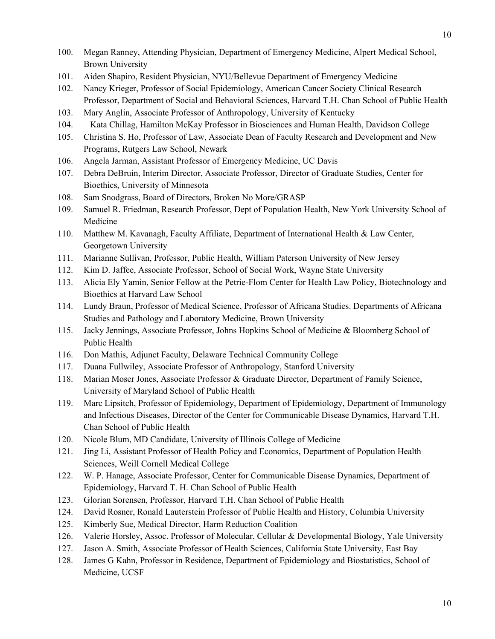- 100. Megan Ranney, Attending Physician, Department of Emergency Medicine, Alpert Medical School, Brown University
- 101. Aiden Shapiro, Resident Physician, NYU/Bellevue Department of Emergency Medicine
- 102. Nancy Krieger, Professor of Social Epidemiology, American Cancer Society Clinical Research Professor, Department of Social and Behavioral Sciences, Harvard T.H. Chan School of Public Health
- 103. Mary Anglin, Associate Professor of Anthropology, University of Kentucky
- 104. Kata Chillag, Hamilton McKay Professor in Biosciences and Human Health, Davidson College
- 105. Christina S. Ho, Professor of Law, Associate Dean of Faculty Research and Development and New Programs, Rutgers Law School, Newark
- 106. Angela Jarman, Assistant Professor of Emergency Medicine, UC Davis
- 107. Debra DeBruin, Interim Director, Associate Professor, Director of Graduate Studies, Center for Bioethics, University of Minnesota
- 108. Sam Snodgrass, Board of Directors, Broken No More/GRASP
- 109. Samuel R. Friedman, Research Professor, Dept of Population Health, New York University School of Medicine
- 110. Matthew M. Kavanagh, Faculty Affiliate, Department of International Health & Law Center, Georgetown University
- 111. Marianne Sullivan, Professor, Public Health, William Paterson University of New Jersey
- 112. Kim D. Jaffee, Associate Professor, School of Social Work, Wayne State University
- 113. Alicia Ely Yamin, Senior Fellow at the Petrie-Flom Center for Health Law Policy, Biotechnology and Bioethics at Harvard Law School
- 114. Lundy Braun, Professor of Medical Science, Professor of Africana Studies. Departments of Africana Studies and Pathology and Laboratory Medicine, Brown University
- 115. Jacky Jennings, Associate Professor, Johns Hopkins School of Medicine & Bloomberg School of Public Health
- 116. Don Mathis, Adjunct Faculty, Delaware Technical Community College
- 117. Duana Fullwiley, Associate Professor of Anthropology, Stanford University
- 118. Marian Moser Jones, Associate Professor & Graduate Director, Department of Family Science, University of Maryland School of Public Health
- 119. Marc Lipsitch, Professor of Epidemiology, Department of Epidemiology, Department of Immunology and Infectious Diseases, Director of the Center for Communicable Disease Dynamics, Harvard T.H. Chan School of Public Health
- 120. Nicole Blum, MD Candidate, University of Illinois College of Medicine
- 121. Jing Li, Assistant Professor of Health Policy and Economics, Department of Population Health Sciences, Weill Cornell Medical College
- 122. W. P. Hanage, Associate Professor, Center for Communicable Disease Dynamics, Department of Epidemiology, Harvard T. H. Chan School of Public Health
- 123. Glorian Sorensen, Professor, Harvard T.H. Chan School of Public Health
- 124. David Rosner, Ronald Lauterstein Professor of Public Health and History, Columbia University
- 125. Kimberly Sue, Medical Director, Harm Reduction Coalition
- 126. Valerie Horsley, Assoc. Professor of Molecular, Cellular & Developmental Biology, Yale University
- 127. Jason A. Smith, Associate Professor of Health Sciences, California State University, East Bay
- 128. James G Kahn, Professor in Residence, Department of Epidemiology and Biostatistics, School of Medicine, UCSF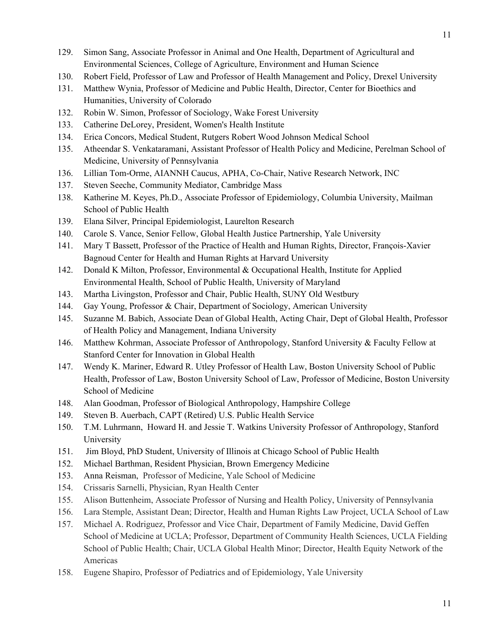- 129. Simon Sang, Associate Professor in Animal and One Health, Department of Agricultural and Environmental Sciences, College of Agriculture, Environment and Human Science
- 130. Robert Field, Professor of Law and Professor of Health Management and Policy, Drexel University
- 131. Matthew Wynia, Professor of Medicine and Public Health, Director, Center for Bioethics and Humanities, University of Colorado
- 132. Robin W. Simon, Professor of Sociology, Wake Forest University
- 133. Catherine DeLorey, President, Women's Health Institute
- 134. Erica Concors, Medical Student, Rutgers Robert Wood Johnson Medical School
- 135. Atheendar S. Venkataramani, Assistant Professor of Health Policy and Medicine, Perelman School of Medicine, University of Pennsylvania
- 136. Lillian Tom-Orme, AIANNH Caucus, APHA, Co-Chair, Native Research Network, INC
- 137. Steven Seeche, Community Mediator, Cambridge Mass
- 138. Katherine M. Keyes, Ph.D., Associate Professor of Epidemiology, Columbia University, Mailman School of Public Health
- 139. Elana Silver, Principal Epidemiologist, Laurelton Research
- 140. Carole S. Vance, Senior Fellow, Global Health Justice Partnership, Yale University
- 141. Mary T Bassett, Professor of the Practice of Health and Human Rights, Director, François-Xavier Bagnoud Center for Health and Human Rights at Harvard University
- 142. Donald K Milton, Professor, Environmental & Occupational Health, Institute for Applied Environmental Health, School of Public Health, University of Maryland
- 143. Martha Livingston, Professor and Chair, Public Health, SUNY Old Westbury
- 144. Gay Young, Professor & Chair, Department of Sociology, American University
- 145. Suzanne M. Babich, Associate Dean of Global Health, Acting Chair, Dept of Global Health, Professor of Health Policy and Management, Indiana University
- 146. Matthew Kohrman, Associate Professor of Anthropology, Stanford University & Faculty Fellow at Stanford Center for Innovation in Global Health
- 147. Wendy K. Mariner, Edward R. Utley Professor of Health Law, Boston University School of Public Health, Professor of Law, Boston University School of Law, Professor of Medicine, Boston University School of Medicine
- 148. Alan Goodman, Professor of Biological Anthropology, Hampshire College
- 149. Steven B. Auerbach, CAPT (Retired) U.S. Public Health Service
- 150. T.M. Luhrmann, Howard H. and Jessie T. Watkins University Professor of Anthropology, Stanford University
- 151. Jim Bloyd, PhD Student, University of Illinois at Chicago School of Public Health
- 152. Michael Barthman, Resident Physician, Brown Emergency Medicine
- 153. Anna Reisman, Professor of Medicine, Yale School of Medicine
- 154. Crissaris Sarnelli, Physician, Ryan Health Center
- 155. Alison Buttenheim, Associate Professor of Nursing and Health Policy, University of Pennsylvania
- 156. Lara Stemple, Assistant Dean; Director, Health and Human Rights Law Project, UCLA School of Law
- 157. Michael A. Rodriguez, Professor and Vice Chair, Department of Family Medicine, David Geffen School of Medicine at UCLA; Professor, Department of Community Health Sciences, UCLA Fielding School of Public Health; Chair, UCLA Global Health Minor; Director, Health Equity Network of the Americas
- 158. Eugene Shapiro, Professor of Pediatrics and of Epidemiology, Yale University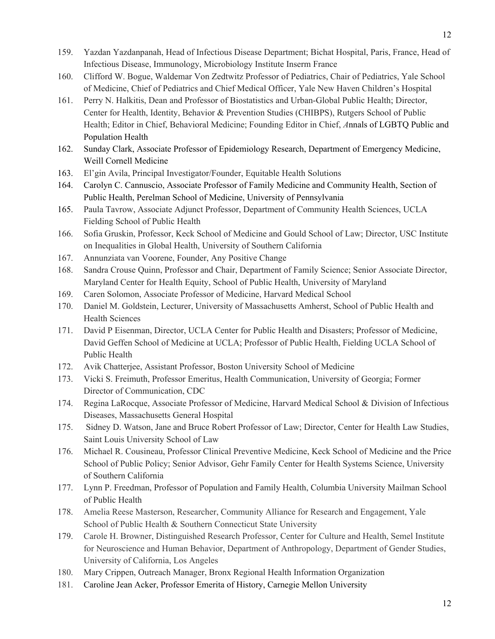12

- 159. Yazdan Yazdanpanah, Head of Infectious Disease Department; Bichat Hospital, Paris, France, Head of Infectious Disease, Immunology, Microbiology Institute Inserm France
- 160. Clifford W. Bogue, Waldemar Von Zedtwitz Professor of Pediatrics, Chair of Pediatrics, Yale School of Medicine, Chief of Pediatrics and Chief Medical Officer, Yale New Haven Children's Hospital
- 161. Perry N. Halkitis, Dean and Professor of Biostatistics and Urban-Global Public Health; Director, Center for Health, Identity, Behavior & Prevention Studies (CHIBPS), Rutgers School of Public Health; Editor in Chief, Behavioral Medicine; Founding Editor in Chief, *A*nnals of LGBTQ Public and Population Health
- 162. Sunday Clark, Associate Professor of Epidemiology Research, Department of Emergency Medicine, Weill Cornell Medicine
- 163. El'gin Avila, Principal Investigator/Founder, Equitable Health Solutions
- 164. Carolyn C. Cannuscio, Associate Professor of Family Medicine and Community Health, Section of Public Health, Perelman School of Medicine, University of Pennsylvania
- 165. Paula Tavrow, Associate Adjunct Professor, Department of Community Health Sciences, UCLA Fielding School of Public Health
- 166. Sofia Gruskin, Professor, Keck School of Medicine and Gould School of Law; Director, USC Institute on Inequalities in Global Health, University of Southern California
- 167. Annunziata van Voorene, Founder, Any Positive Change
- 168. Sandra Crouse Quinn, Professor and Chair, Department of Family Science; Senior Associate Director, Maryland Center for Health Equity, School of Public Health, University of Maryland
- 169. Caren Solomon, Associate Professor of Medicine, Harvard Medical School
- 170. Daniel M. Goldstein, Lecturer, University of Massachusetts Amherst, School of Public Health and Health Sciences
- 171. David P Eisenman, Director, UCLA Center for Public Health and Disasters; Professor of Medicine, David Geffen School of Medicine at UCLA; Professor of Public Health, Fielding UCLA School of Public Health
- 172. Avik Chatterjee, Assistant Professor, Boston University School of Medicine
- 173. Vicki S. Freimuth, Professor Emeritus, Health Communication, University of Georgia; Former Director of Communication, CDC
- 174. Regina LaRocque, Associate Professor of Medicine, Harvard Medical School & Division of Infectious Diseases, Massachusetts General Hospital
- 175. Sidney D. Watson, Jane and Bruce Robert Professor of Law; Director, Center for Health Law Studies, Saint Louis University School of Law
- 176. Michael R. Cousineau, Professor Clinical Preventive Medicine, Keck School of Medicine and the Price School of Public Policy; Senior Advisor, Gehr Family Center for Health Systems Science, University of Southern California
- 177. Lynn P. Freedman, Professor of Population and Family Health, Columbia University Mailman School of Public Health
- 178. Amelia Reese Masterson, Researcher, Community Alliance for Research and Engagement, Yale School of Public Health & Southern Connecticut State University
- 179. Carole H. Browner, Distinguished Research Professor, Center for Culture and Health, Semel Institute for Neuroscience and Human Behavior, Department of Anthropology, Department of Gender Studies, University of California, Los Angeles
- 180. Mary Crippen, Outreach Manager, Bronx Regional Health Information Organization
- 181. Caroline Jean Acker, Professor Emerita of History, Carnegie Mellon University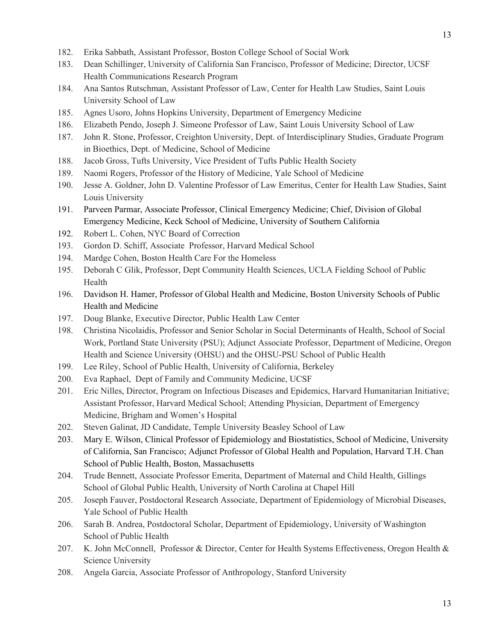- 182. Erika Sabbath, Assistant Professor, Boston College School of Social Work
- 183. Dean Schillinger, University of California San Francisco, Professor of Medicine; Director, UCSF Health Communications Research Program
- 184. Ana Santos Rutschman, Assistant Professor of Law, Center for Health Law Studies, Saint Louis University School of Law
- 185. Agnes Usoro, Johns Hopkins University, Department of Emergency Medicine
- 186. Elizabeth Pendo, Joseph J. Simeone Professor of Law, Saint Louis University School of Law
- 187. John R. Stone, Professor, Creighton University, Dept. of Interdisciplinary Studies, Graduate Program in Bioethics, Dept. of Medicine, School of Medicine
- 188. Jacob Gross, Tufts University, Vice President of Tufts Public Health Society
- 189. Naomi Rogers, Professor of the History of Medicine, Yale School of Medicine
- 190. Jesse A. Goldner, John D. Valentine Professor of Law Emeritus, Center for Health Law Studies, Saint Louis University
- 191. Parveen Parmar, Associate Professor, Clinical Emergency Medicine; Chief, Division of Global Emergency Medicine, Keck School of Medicine, University of Southern California
- 192. Robert L. Cohen, NYC Board of Correction
- 193. Gordon D. Schiff, Associate Professor, Harvard Medical School
- 194. Mardge Cohen, Boston Health Care For the Homeless
- 195. Deborah C Glik, Professor, Dept Community Health Sciences, UCLA Fielding School of Public Health
- 196. Davidson H. Hamer, Professor of Global Health and Medicine, Boston University Schools of Public Health and Medicine
- 197. Doug Blanke, Executive Director, Public Health Law Center
- 198. Christina Nicolaidis, Professor and Senior Scholar in Social Determinants of Health, School of Social Work, Portland State University (PSU); Adjunct Associate Professor, Department of Medicine, Oregon Health and Science University (OHSU) and the OHSU-PSU School of Public Health
- 199. Lee Riley, School of Public Health, University of California, Berkeley
- 200. Eva Raphael, Dept of Family and Community Medicine, UCSF
- 201. Eric Nilles, Director, Program on Infectious Diseases and Epidemics, Harvard Humanitarian Initiative; Assistant Professor, Harvard Medical School; Attending Physician, Department of Emergency Medicine, Brigham and Women's Hospital
- 202. Steven Galinat, JD Candidate, Temple University Beasley School of Law
- 203. Mary E. Wilson, Clinical Professor of Epidemiology and Biostatistics, School of Medicine, University of California, San Francisco; Adjunct Professor of Global Health and Population, Harvard T.H. Chan School of Public Health, Boston, Massachusetts
- 204. Trude Bennett, Associate Professor Emerita, Department of Maternal and Child Health, Gillings School of Global Public Health, University of North Carolina at Chapel Hill
- 205. Joseph Fauver, Postdoctoral Research Associate, Department of Epidemiology of Microbial Diseases, Yale School of Public Health
- 206. Sarah B. Andrea, Postdoctoral Scholar, Department of Epidemiology, University of Washington School of Public Health
- 207. K. John McConnell, Professor & Director, Center for Health Systems Effectiveness, Oregon Health & Science University
- 208. Angela Garcia, Associate Professor of Anthropology, Stanford University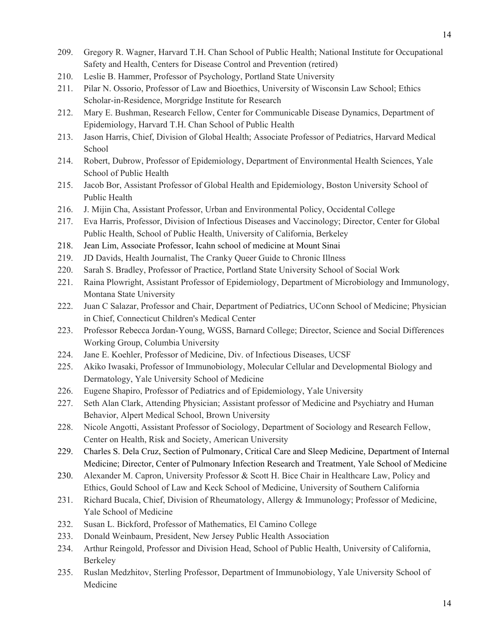- 209. Gregory R. Wagner, Harvard T.H. Chan School of Public Health; National Institute for Occupational Safety and Health, Centers for Disease Control and Prevention (retired)
- 210. Leslie B. Hammer, Professor of Psychology, Portland State University
- 211. Pilar N. Ossorio, Professor of Law and Bioethics, University of Wisconsin Law School; Ethics Scholar-in-Residence, Morgridge Institute for Research
- 212. Mary E. Bushman, Research Fellow, Center for Communicable Disease Dynamics, Department of Epidemiology, Harvard T.H. Chan School of Public Health
- 213. Jason Harris, Chief, Division of Global Health; Associate Professor of Pediatrics, Harvard Medical School
- 214. Robert, Dubrow, Professor of Epidemiology, Department of Environmental Health Sciences, Yale School of Public Health
- 215. Jacob Bor, Assistant Professor of Global Health and Epidemiology, Boston University School of Public Health
- 216. J. Mijin Cha, Assistant Professor, Urban and Environmental Policy, Occidental College
- 217. Eva Harris, Professor, Division of Infectious Diseases and Vaccinology; Director, Center for Global Public Health, School of Public Health, University of California, Berkeley
- 218. Jean Lim, Associate Professor, Icahn school of medicine at Mount Sinai
- 219. JD Davids, Health Journalist, The Cranky Queer Guide to Chronic Illness
- 220. Sarah S. Bradley, Professor of Practice, Portland State University School of Social Work
- 221. Raina Plowright, Assistant Professor of Epidemiology, Department of Microbiology and Immunology, Montana State University
- 222. Juan C Salazar, Professor and Chair, Department of Pediatrics, UConn School of Medicine; Physician in Chief, Connecticut Children's Medical Center
- 223. Professor Rebecca Jordan-Young, WGSS, Barnard College; Director, Science and Social Differences Working Group, Columbia University
- 224. Jane E. Koehler, Professor of Medicine, Div. of Infectious Diseases, UCSF
- 225. Akiko Iwasaki, Professor of Immunobiology, Molecular Cellular and Developmental Biology and Dermatology, Yale University School of Medicine
- 226. Eugene Shapiro, Professor of Pediatrics and of Epidemiology, Yale University
- 227. Seth Alan Clark, Attending Physician; Assistant professor of Medicine and Psychiatry and Human Behavior, Alpert Medical School, Brown University
- 228. Nicole Angotti, Assistant Professor of Sociology, Department of Sociology and Research Fellow, Center on Health, Risk and Society, American University
- 229. Charles S. Dela Cruz, Section of Pulmonary, Critical Care and Sleep Medicine, Department of Internal Medicine; Director, Center of Pulmonary Infection Research and Treatment, Yale School of Medicine
- 230. Alexander M. Capron, University Professor & Scott H. Bice Chair in Healthcare Law, Policy and Ethics, Gould School of Law and Keck School of Medicine, University of Southern California
- 231. Richard Bucala, Chief, Division of Rheumatology, Allergy & Immunology; Professor of Medicine, Yale School of Medicine
- 232. Susan L. Bickford, Professor of Mathematics, El Camino College
- 233. Donald Weinbaum, President, New Jersey Public Health Association
- 234. Arthur Reingold, Professor and Division Head, School of Public Health, University of California, Berkeley
- 235. Ruslan Medzhitov, Sterling Professor, Department of Immunobiology, Yale University School of Medicine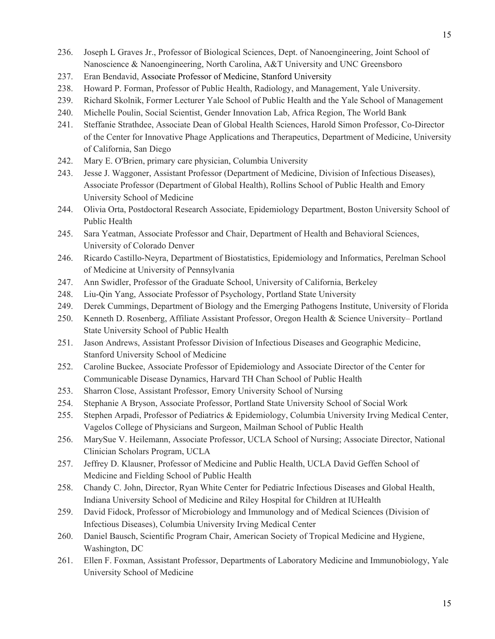- 236. Joseph L Graves Jr., Professor of Biological Sciences, Dept. of Nanoengineering, Joint School of Nanoscience & Nanoengineering, North Carolina, A&T University and UNC Greensboro
- 237. Eran Bendavid, Associate Professor of Medicine, Stanford University
- 238. Howard P. Forman, Professor of Public Health, Radiology, and Management, Yale University.
- 239. Richard Skolnik, Former Lecturer Yale School of Public Health and the Yale School of Management
- 240. Michelle Poulin, Social Scientist, Gender Innovation Lab, Africa Region, The World Bank
- 241. Steffanie Strathdee, Associate Dean of Global Health Sciences, Harold Simon Professor, Co-Director of the Center for Innovative Phage Applications and Therapeutics, Department of Medicine, University of California, San Diego
- 242. Mary E. O'Brien, primary care physician, Columbia University
- 243. Jesse J. Waggoner, Assistant Professor (Department of Medicine, Division of Infectious Diseases), Associate Professor (Department of Global Health), Rollins School of Public Health and Emory University School of Medicine
- 244. Olivia Orta, Postdoctoral Research Associate, Epidemiology Department, Boston University School of Public Health
- 245. Sara Yeatman, Associate Professor and Chair, Department of Health and Behavioral Sciences, University of Colorado Denver
- 246. Ricardo Castillo-Neyra, Department of Biostatistics, Epidemiology and Informatics, Perelman School of Medicine at University of Pennsylvania
- 247. Ann Swidler, Professor of the Graduate School, University of California, Berkeley
- 248. Liu-Qin Yang, Associate Professor of Psychology, Portland State University
- 249. Derek Cummings, Department of Biology and the Emerging Pathogens Institute, University of Florida
- 250. Kenneth D. Rosenberg, Affiliate Assistant Professor, Oregon Health & Science University– Portland State University School of Public Health
- 251. Jason Andrews, Assistant Professor Division of Infectious Diseases and Geographic Medicine, Stanford University School of Medicine
- 252. Caroline Buckee, Associate Professor of Epidemiology and Associate Director of the Center for Communicable Disease Dynamics, Harvard TH Chan School of Public Health
- 253. Sharron Close, Assistant Professor, Emory University School of Nursing
- 254. Stephanie A Bryson, Associate Professor, Portland State University School of Social Work
- 255. Stephen Arpadi, Professor of Pediatrics & Epidemiology, Columbia University Irving Medical Center, Vagelos College of Physicians and Surgeon, Mailman School of Public Health
- 256. MarySue V. Heilemann, Associate Professor, UCLA School of Nursing; Associate Director, National Clinician Scholars Program, UCLA
- 257. Jeffrey D. Klausner, Professor of Medicine and Public Health, UCLA David Geffen School of Medicine and Fielding School of Public Health
- 258. Chandy C. John, Director, Ryan White Center for Pediatric Infectious Diseases and Global Health, Indiana University School of Medicine and Riley Hospital for Children at IUHealth
- 259. David Fidock, Professor of Microbiology and Immunology and of Medical Sciences (Division of Infectious Diseases), Columbia University Irving Medical Center
- 260. Daniel Bausch, Scientific Program Chair, American Society of Tropical Medicine and Hygiene, Washington, DC
- 261. Ellen F. Foxman, Assistant Professor, Departments of Laboratory Medicine and Immunobiology, Yale University School of Medicine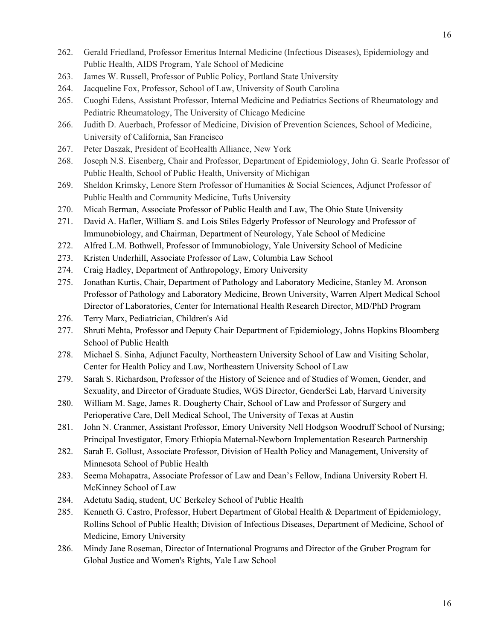- 262. Gerald Friedland, Professor Emeritus Internal Medicine (Infectious Diseases), Epidemiology and Public Health, AIDS Program, Yale School of Medicine
- 263. James W. Russell, Professor of Public Policy, Portland State University
- 264. Jacqueline Fox, Professor, School of Law, University of South Carolina
- 265. Cuoghi Edens, Assistant Professor, Internal Medicine and Pediatrics Sections of Rheumatology and Pediatric Rheumatology, The University of Chicago Medicine
- 266. Judith D. Auerbach, Professor of Medicine, Division of Prevention Sciences, School of Medicine, University of California, San Francisco
- 267. Peter Daszak, President of EcoHealth Alliance, New York
- 268. Joseph N.S. Eisenberg, Chair and Professor, Department of Epidemiology, John G. Searle Professor of Public Health, School of Public Health, University of Michigan
- 269. Sheldon Krimsky, Lenore Stern Professor of Humanities & Social Sciences, Adjunct Professor of Public Health and Community Medicine, Tufts University
- 270. Micah Berman, Associate Professor of Public Health and Law, The Ohio State University
- 271. David A. Hafler, William S. and Lois Stiles Edgerly Professor of Neurology and Professor of Immunobiology, and Chairman, Department of Neurology, Yale School of Medicine
- 272. Alfred L.M. Bothwell, Professor of Immunobiology, Yale University School of Medicine
- 273. Kristen Underhill, Associate Professor of Law, Columbia Law School
- 274. Craig Hadley, Department of Anthropology, Emory University
- 275. Jonathan Kurtis, Chair, Department of Pathology and Laboratory Medicine, Stanley M. Aronson Professor of Pathology and Laboratory Medicine, Brown University, Warren Alpert Medical School Director of Laboratories, Center for International Health Research Director, MD/PhD Program
- 276. Terry Marx, Pediatrician, Children's Aid
- 277. Shruti Mehta, Professor and Deputy Chair Department of Epidemiology, Johns Hopkins Bloomberg School of Public Health
- 278. Michael S. Sinha, Adjunct Faculty, Northeastern University School of Law and Visiting Scholar, Center for Health Policy and Law, Northeastern University School of Law
- 279. Sarah S. Richardson, Professor of the History of Science and of Studies of Women, Gender, and Sexuality, and Director of Graduate Studies, WGS Director, GenderSci Lab, Harvard University
- 280. William M. Sage, James R. Dougherty Chair, School of Law and Professor of Surgery and Perioperative Care, Dell Medical School, The University of Texas at Austin
- 281. John N. Cranmer, Assistant Professor, Emory University Nell Hodgson Woodruff School of Nursing; Principal Investigator, Emory Ethiopia Maternal-Newborn Implementation Research Partnership
- 282. Sarah E. Gollust, Associate Professor, Division of Health Policy and Management, University of Minnesota School of Public Health
- 283. Seema Mohapatra, Associate Professor of Law and Dean's Fellow, Indiana University Robert H. McKinney School of Law
- 284. Adetutu Sadiq, student, UC Berkeley School of Public Health
- 285. Kenneth G. Castro, Professor, Hubert Department of Global Health & Department of Epidemiology, Rollins School of Public Health; Division of Infectious Diseases, Department of Medicine, School of Medicine, Emory University
- 286. Mindy Jane Roseman, Director of International Programs and Director of the Gruber Program for Global Justice and Women's Rights, Yale Law School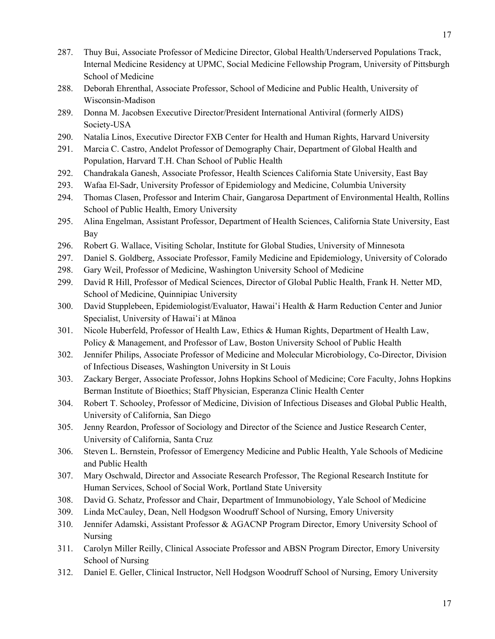- 287. Thuy Bui, Associate Professor of Medicine Director, Global Health/Underserved Populations Track, Internal Medicine Residency at UPMC, Social Medicine Fellowship Program, University of Pittsburgh School of Medicine
- 288. Deborah Ehrenthal, Associate Professor, School of Medicine and Public Health, University of Wisconsin-Madison
- 289. Donna M. Jacobsen Executive Director/President International Antiviral (formerly AIDS) Society-USA
- 290. Natalia Linos, Executive Director FXB Center for Health and Human Rights, Harvard University
- 291. Marcia C. Castro, Andelot Professor of Demography Chair, Department of Global Health and Population, Harvard T.H. Chan School of Public Health
- 292. Chandrakala Ganesh, Associate Professor, Health Sciences California State University, East Bay
- 293. Wafaa El-Sadr, University Professor of Epidemiology and Medicine, Columbia University
- 294. Thomas Clasen, Professor and Interim Chair, Gangarosa Department of Environmental Health, Rollins School of Public Health, Emory University
- 295. Alina Engelman, Assistant Professor, Department of Health Sciences, California State University, East Bay
- 296. Robert G. Wallace, Visiting Scholar, Institute for Global Studies, University of Minnesota
- 297. Daniel S. Goldberg, Associate Professor, Family Medicine and Epidemiology, University of Colorado
- 298. Gary Weil, Professor of Medicine, Washington University School of Medicine
- 299. David R Hill, Professor of Medical Sciences, Director of Global Public Health, Frank H. Netter MD, School of Medicine, Quinnipiac University
- 300. David Stupplebeen, Epidemiologist/Evaluator, Hawaiʻi Health & Harm Reduction Center and Junior Specialist, University of Hawaiʻi at Mānoa
- 301. Nicole Huberfeld, Professor of Health Law, Ethics & Human Rights, Department of Health Law, Policy & Management, and Professor of Law, Boston University School of Public Health
- 302. Jennifer Philips, Associate Professor of Medicine and Molecular Microbiology, Co-Director, Division of Infectious Diseases, Washington University in St Louis
- 303. Zackary Berger, Associate Professor, Johns Hopkins School of Medicine; Core Faculty, Johns Hopkins Berman Institute of Bioethics; Staff Physician, Esperanza Clinic Health Center
- 304. Robert T. Schooley, Professor of Medicine, Division of Infectious Diseases and Global Public Health, University of California, San Diego
- 305. Jenny Reardon, Professor of Sociology and Director of the Science and Justice Research Center, University of California, Santa Cruz
- 306. Steven L. Bernstein, Professor of Emergency Medicine and Public Health, Yale Schools of Medicine and Public Health
- 307. Mary Oschwald, Director and Associate Research Professor, The Regional Research Institute for Human Services, School of Social Work, Portland State University
- 308. David G. Schatz, Professor and Chair, Department of Immunobiology, Yale School of Medicine
- 309. Linda McCauley, Dean, Nell Hodgson Woodruff School of Nursing, Emory University
- 310. Jennifer Adamski, Assistant Professor & AGACNP Program Director, Emory University School of Nursing
- 311. Carolyn Miller Reilly, Clinical Associate Professor and ABSN Program Director, Emory University School of Nursing
- 312. Daniel E. Geller, Clinical Instructor, Nell Hodgson Woodruff School of Nursing, Emory University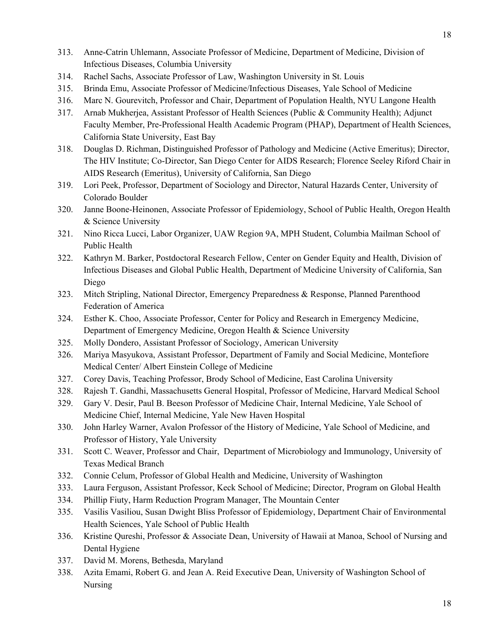- 313. Anne-Catrin Uhlemann, Associate Professor of Medicine, Department of Medicine, Division of Infectious Diseases, Columbia University
- 314. Rachel Sachs, Associate Professor of Law, Washington University in St. Louis
- 315. Brinda Emu, Associate Professor of Medicine/Infectious Diseases, Yale School of Medicine
- 316. Marc N. Gourevitch, Professor and Chair, Department of Population Health, NYU Langone Health
- 317. Arnab Mukherjea, Assistant Professor of Health Sciences (Public & Community Health); Adjunct Faculty Member, Pre-Professional Health Academic Program (PHAP), Department of Health Sciences, California State University, East Bay
- 318. Douglas D. Richman, Distinguished Professor of Pathology and Medicine (Active Emeritus); Director, The HIV Institute; Co-Director, San Diego Center for AIDS Research; Florence Seeley Riford Chair in AIDS Research (Emeritus), University of California, San Diego
- 319. Lori Peek, Professor, Department of Sociology and Director, Natural Hazards Center, University of Colorado Boulder
- 320. Janne Boone-Heinonen, Associate Professor of Epidemiology, School of Public Health, Oregon Health & Science University
- 321. Nino Ricca Lucci, Labor Organizer, UAW Region 9A, MPH Student, Columbia Mailman School of Public Health
- 322. Kathryn M. Barker, Postdoctoral Research Fellow, Center on Gender Equity and Health, Division of Infectious Diseases and Global Public Health, Department of Medicine University of California, San Diego
- 323. Mitch Stripling, National Director, Emergency Preparedness & Response, Planned Parenthood Federation of America
- 324. Esther K. Choo, Associate Professor, Center for Policy and Research in Emergency Medicine, Department of Emergency Medicine, Oregon Health & Science University
- 325. Molly Dondero, Assistant Professor of Sociology, American University
- 326. Mariya Masyukova, Assistant Professor, Department of Family and Social Medicine, Montefiore Medical Center/ Albert Einstein College of Medicine
- 327. Corey Davis, Teaching Professor, Brody School of Medicine, East Carolina University
- 328. Rajesh T. Gandhi, Massachusetts General Hospital, Professor of Medicine, Harvard Medical School
- 329. Gary V. Desir, Paul B. Beeson Professor of Medicine Chair, Internal Medicine, Yale School of Medicine Chief, Internal Medicine, Yale New Haven Hospital
- 330. John Harley Warner, Avalon Professor of the History of Medicine, Yale School of Medicine, and Professor of History, Yale University
- 331. Scott C. Weaver, Professor and Chair, Department of Microbiology and Immunology, University of Texas Medical Branch
- 332. Connie Celum, Professor of Global Health and Medicine, University of Washington
- 333. Laura Ferguson, Assistant Professor, Keck School of Medicine; Director, Program on Global Health
- 334. Phillip Fiuty, Harm Reduction Program Manager, The Mountain Center
- 335. Vasilis Vasiliou, Susan Dwight Bliss Professor of Epidemiology, Department Chair of Environmental Health Sciences, Yale School of Public Health
- 336. Kristine Qureshi, Professor & Associate Dean, University of Hawaii at Manoa, School of Nursing and Dental Hygiene
- 337. David M. Morens, Bethesda, Maryland
- 338. Azita Emami, Robert G. and Jean A. Reid Executive Dean, University of Washington School of Nursing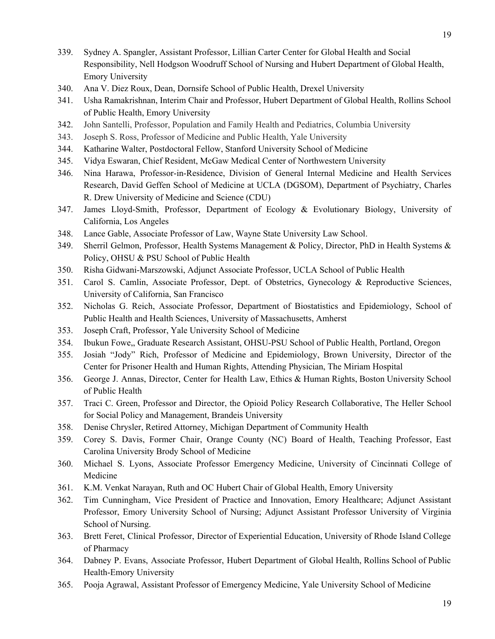- 339. Sydney A. Spangler, Assistant Professor, Lillian Carter Center for Global Health and Social Responsibility, Nell Hodgson Woodruff School of Nursing and Hubert Department of Global Health, Emory University
- 340. Ana V. Diez Roux, Dean, Dornsife School of Public Health, Drexel University
- 341. Usha Ramakrishnan, Interim Chair and Professor, Hubert Department of Global Health, Rollins School of Public Health, Emory University
- 342. John Santelli, Professor, Population and Family Health and Pediatrics, Columbia University
- 343. Joseph S. Ross, Professor of Medicine and Public Health, Yale University
- 344. Katharine Walter, Postdoctoral Fellow, Stanford University School of Medicine
- 345. Vidya Eswaran, Chief Resident, McGaw Medical Center of Northwestern University
- 346. Nina Harawa, Professor-in-Residence, Division of General Internal Medicine and Health Services Research, David Geffen School of Medicine at UCLA (DGSOM), Department of Psychiatry, Charles R. Drew University of Medicine and Science (CDU)
- 347. James Lloyd-Smith, Professor, Department of Ecology & Evolutionary Biology, University of California, Los Angeles
- 348. Lance Gable, Associate Professor of Law, Wayne State University Law School.
- 349. Sherril Gelmon, Professor, Health Systems Management & Policy, Director, PhD in Health Systems & Policy, OHSU & PSU School of Public Health
- 350. Risha Gidwani-Marszowski, Adjunct Associate Professor, UCLA School of Public Health
- 351. Carol S. Camlin, Associate Professor, Dept. of Obstetrics, Gynecology & Reproductive Sciences, University of California, San Francisco
- 352. Nicholas G. Reich, Associate Professor, Department of Biostatistics and Epidemiology, School of Public Health and Health Sciences, University of Massachusetts, Amherst
- 353. Joseph Craft, Professor, Yale University School of Medicine
- 354. Ibukun Fowe,, Graduate Research Assistant, OHSU-PSU School of Public Health, Portland, Oregon
- 355. Josiah "Jody" Rich, Professor of Medicine and Epidemiology, Brown University, Director of the Center for Prisoner Health and Human Rights, Attending Physician, The Miriam Hospital
- 356. George J. Annas, Director, Center for Health Law, Ethics & Human Rights, Boston University School of Public Health
- 357. Traci C. Green, Professor and Director, the Opioid Policy Research Collaborative, The Heller School for Social Policy and Management, Brandeis University
- 358. Denise Chrysler, Retired Attorney, Michigan Department of Community Health
- 359. Corey S. Davis, Former Chair, Orange County (NC) Board of Health, Teaching Professor, East Carolina University Brody School of Medicine
- 360. Michael S. Lyons, Associate Professor Emergency Medicine, University of Cincinnati College of Medicine
- 361. K.M. Venkat Narayan, Ruth and OC Hubert Chair of Global Health, Emory University
- 362. Tim Cunningham, Vice President of Practice and Innovation, Emory Healthcare; Adjunct Assistant Professor, Emory University School of Nursing; Adjunct Assistant Professor University of Virginia School of Nursing.
- 363. Brett Feret, Clinical Professor, Director of Experiential Education, University of Rhode Island College of Pharmacy
- 364. Dabney P. Evans, Associate Professor, Hubert Department of Global Health, Rollins School of Public Health-Emory University
- 365. Pooja Agrawal, Assistant Professor of Emergency Medicine, Yale University School of Medicine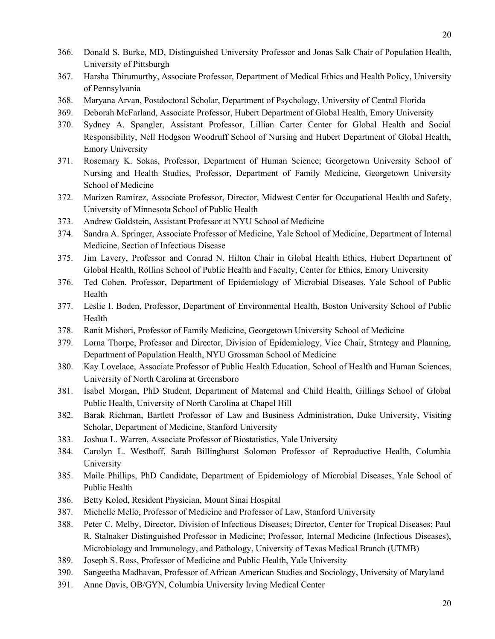- 366. Donald S. Burke, MD, Distinguished University Professor and Jonas Salk Chair of Population Health, University of Pittsburgh
- 367. Harsha Thirumurthy, Associate Professor, Department of Medical Ethics and Health Policy, University of Pennsylvania
- 368. Maryana Arvan, Postdoctoral Scholar, Department of Psychology, University of Central Florida
- 369. Deborah McFarland, Associate Professor, Hubert Department of Global Health, Emory University
- 370. Sydney A. Spangler, Assistant Professor, Lillian Carter Center for Global Health and Social Responsibility, Nell Hodgson Woodruff School of Nursing and Hubert Department of Global Health, Emory University
- 371. Rosemary K. Sokas, Professor, Department of Human Science; Georgetown University School of Nursing and Health Studies, Professor, Department of Family Medicine, Georgetown University School of Medicine
- 372. Marizen Ramirez, Associate Professor, Director, Midwest Center for Occupational Health and Safety, University of Minnesota School of Public Health
- 373. Andrew Goldstein, Assistant Professor at NYU School of Medicine
- 374. Sandra A. Springer, Associate Professor of Medicine, Yale School of Medicine, Department of Internal Medicine, Section of Infectious Disease
- 375. Jim Lavery, Professor and Conrad N. Hilton Chair in Global Health Ethics, Hubert Department of Global Health, Rollins School of Public Health and Faculty, Center for Ethics, Emory University
- 376. Ted Cohen, Professor, Department of Epidemiology of Microbial Diseases, Yale School of Public Health
- 377. Leslie I. Boden, Professor, Department of Environmental Health, Boston University School of Public Health
- 378. Ranit Mishori, Professor of Family Medicine, Georgetown University School of Medicine
- 379. Lorna Thorpe, Professor and Director, Division of Epidemiology, Vice Chair, Strategy and Planning, Department of Population Health, NYU Grossman School of Medicine
- 380. Kay Lovelace, Associate Professor of Public Health Education, School of Health and Human Sciences, University of North Carolina at Greensboro
- 381. Isabel Morgan, PhD Student, Department of Maternal and Child Health, Gillings School of Global Public Health, University of North Carolina at Chapel Hill
- 382. Barak Richman, Bartlett Professor of Law and Business Administration, Duke University, Visiting Scholar, Department of Medicine, Stanford University
- 383. Joshua L. Warren, Associate Professor of Biostatistics, Yale University
- 384. Carolyn L. Westhoff, Sarah Billinghurst Solomon Professor of Reproductive Health, Columbia University
- 385. Maile Phillips, PhD Candidate, Department of Epidemiology of Microbial Diseases, Yale School of Public Health
- 386. Betty Kolod, Resident Physician, Mount Sinai Hospital
- 387. Michelle Mello, Professor of Medicine and Professor of Law, Stanford University
- 388. Peter C. Melby, Director, Division of Infectious Diseases; Director, Center for Tropical Diseases; Paul R. Stalnaker Distinguished Professor in Medicine; Professor, Internal Medicine (Infectious Diseases), Microbiology and Immunology, and Pathology, University of Texas Medical Branch (UTMB)
- 389. Joseph S. Ross, Professor of Medicine and Public Health, Yale University
- 390. Sangeetha Madhavan, Professor of African American Studies and Sociology, University of Maryland
- 391. Anne Davis, OB/GYN, Columbia University Irving Medical Center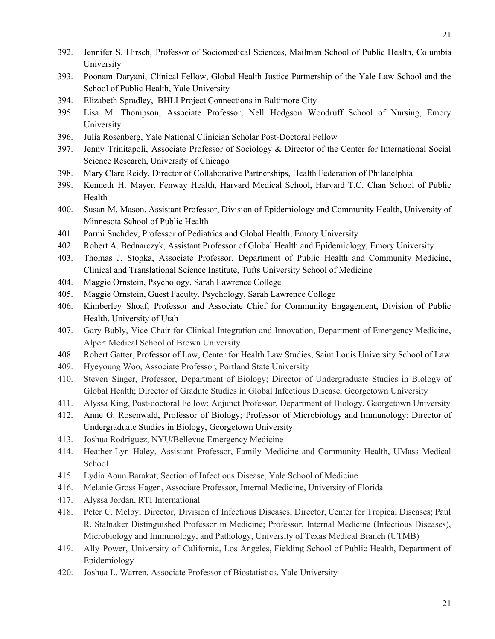- 392. Jennifer S. Hirsch, Professor of Sociomedical Sciences, Mailman School of Public Health, Columbia University
- 393. Poonam Daryani, Clinical Fellow, Global Health Justice Partnership of the Yale Law School and the School of Public Health, Yale University
- 394. Elizabeth Spradley, BHLI Project Connections in Baltimore City
- 395. Lisa M. Thompson, Associate Professor, Nell Hodgson Woodruff School of Nursing, Emory University
- 396. Julia Rosenberg, Yale National Clinician Scholar Post-Doctoral Fellow
- 397. Jenny Trinitapoli, Associate Professor of Sociology & Director of the Center for International Social Science Research, University of Chicago
- 398. Mary Clare Reidy, Director of Collaborative Partnerships, Health Federation of Philadelphia
- 399. Kenneth H. Mayer, Fenway Health, Harvard Medical School, Harvard T.C. Chan School of Public Health
- 400. Susan M. Mason, Assistant Professor, Division of Epidemiology and Community Health, University of Minnesota School of Public Health
- 401. Parmi Suchdev, Professor of Pediatrics and Global Health, Emory University
- 402. Robert A. Bednarczyk, Assistant Professor of Global Health and Epidemiology, Emory University
- 403. Thomas J. Stopka, Associate Professor, Department of Public Health and Community Medicine, Clinical and Translational Science Institute, Tufts University School of Medicine
- 404. Maggie Ornstein, Psychology, Sarah Lawrence College
- 405. Maggie Ornstein, Guest Faculty, Psychology, Sarah Lawrence College
- 406. Kimberley Shoaf, Professor and Associate Chief for Community Engagement, Division of Public Health, University of Utah
- 407. Gary Bubly, Vice Chair for Clinical Integration and Innovation, Department of Emergency Medicine, Alpert Medical School of Brown University
- 408. Robert Gatter, Professor of Law, Center for Health Law Studies, Saint Louis University School of Law
- 409. Hyeyoung Woo, Associate Professor, Portland State University
- 410. Steven Singer, Professor, Department of Biology; Director of Undergraduate Studies in Biology of Global Health; Director of Gradute Studies in Global Infectious Disease, Georgetown University
- 411. Alyssa King, Post-doctoral Fellow; Adjunct Professor, Department of Biology, Georgetown University
- 412. Anne G. Rosenwald, Professor of Biology; Professor of Microbiology and Immunology; Director of Undergraduate Studies in Biology, Georgetown University
- 413. Joshua Rodriguez, NYU/Bellevue Emergency Medicine
- 414. Heather-Lyn Haley, Assistant Professor, Family Medicine and Community Health, UMass Medical School
- 415. Lydia Aoun Barakat, Section of Infectious Disease, Yale School of Medicine
- 416. Melanie Gross Hagen, Associate Professor, Internal Medicine, University of Florida
- 417. Alyssa Jordan, RTI International
- 418. Peter C. Melby, Director, Division of Infectious Diseases; Director, Center for Tropical Diseases; Paul R. Stalnaker Distinguished Professor in Medicine; Professor, Internal Medicine (Infectious Diseases), Microbiology and Immunology, and Pathology, University of Texas Medical Branch (UTMB)
- 419. Ally Power, University of California, Los Angeles, Fielding School of Public Health, Department of Epidemiology
- 420. Joshua L. Warren, Associate Professor of Biostatistics, Yale University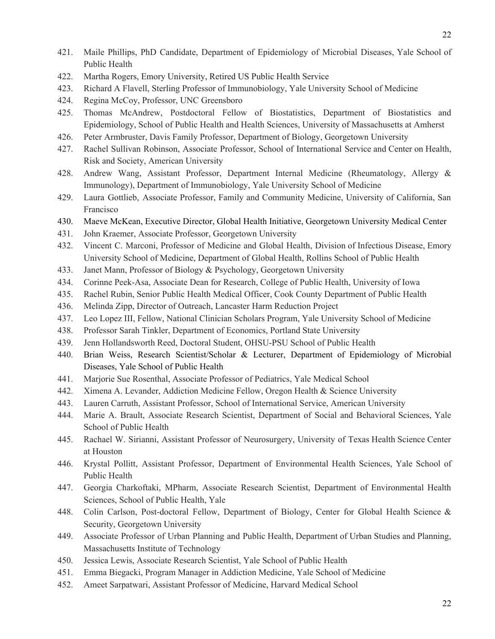- 421. Maile Phillips, PhD Candidate, Department of Epidemiology of Microbial Diseases, Yale School of Public Health
- 422. Martha Rogers, Emory University, Retired US Public Health Service
- 423. Richard A Flavell, Sterling Professor of Immunobiology, Yale University School of Medicine
- 424. Regina McCoy, Professor, UNC Greensboro
- 425. Thomas McAndrew, Postdoctoral Fellow of Biostatistics, Department of Biostatistics and Epidemiology, School of Public Health and Health Sciences, University of Massachusetts at Amherst
- 426. Peter Armbruster, Davis Family Professor, Department of Biology, Georgetown University
- 427. Rachel Sullivan Robinson, Associate Professor, School of International Service and Center on Health, Risk and Society, American University
- 428. Andrew Wang, Assistant Professor, Department Internal Medicine (Rheumatology, Allergy & Immunology), Department of Immunobiology, Yale University School of Medicine
- 429. Laura Gottlieb, Associate Professor, Family and Community Medicine, University of California, San Francisco
- 430. Maeve McKean, Executive Director, Global Health Initiative, Georgetown University Medical Center
- 431. John Kraemer, Associate Professor, Georgetown University
- 432. Vincent C. Marconi, Professor of Medicine and Global Health, Division of Infectious Disease, Emory University School of Medicine, Department of Global Health, Rollins School of Public Health
- 433. Janet Mann, Professor of Biology & Psychology, Georgetown University
- 434. Corinne Peek-Asa, Associate Dean for Research, College of Public Health, University of Iowa
- 435. Rachel Rubin, Senior Public Health Medical Officer, Cook County Department of Public Health
- 436. Melinda Zipp, Director of Outreach, Lancaster Harm Reduction Project
- 437. Leo Lopez III, Fellow, National Clinician Scholars Program, Yale University School of Medicine
- 438. Professor Sarah Tinkler, Department of Economics, Portland State University
- 439. Jenn Hollandsworth Reed, Doctoral Student, OHSU-PSU School of Public Health
- 440. Brian Weiss, Research Scientist/Scholar & Lecturer, Department of Epidemiology of Microbial Diseases, Yale School of Public Health
- 441. Marjorie Sue Rosenthal, Associate Professor of Pediatrics, Yale Medical School
- 442. Ximena A. Levander, Addiction Medicine Fellow, Oregon Health & Science University
- 443. Lauren Carruth, Assistant Professor, School of International Service, American University
- 444. Marie A. Brault, Associate Research Scientist, Department of Social and Behavioral Sciences, Yale School of Public Health
- 445. Rachael W. Sirianni, Assistant Professor of Neurosurgery, University of Texas Health Science Center at Houston
- 446. Krystal Pollitt, Assistant Professor, Department of Environmental Health Sciences, Yale School of Public Health
- 447. Georgia Charkoftaki, MPharm, Associate Research Scientist, Department of Environmental Health Sciences, School of Public Health, Yale
- 448. Colin Carlson, Post-doctoral Fellow, Department of Biology, Center for Global Health Science & Security, Georgetown University
- 449. Associate Professor of Urban Planning and Public Health, Department of Urban Studies and Planning, Massachusetts Institute of Technology
- 450. Jessica Lewis, Associate Research Scientist, Yale School of Public Health
- 451. Emma Biegacki, Program Manager in Addiction Medicine, Yale School of Medicine
- 452. Ameet Sarpatwari, Assistant Professor of Medicine, Harvard Medical School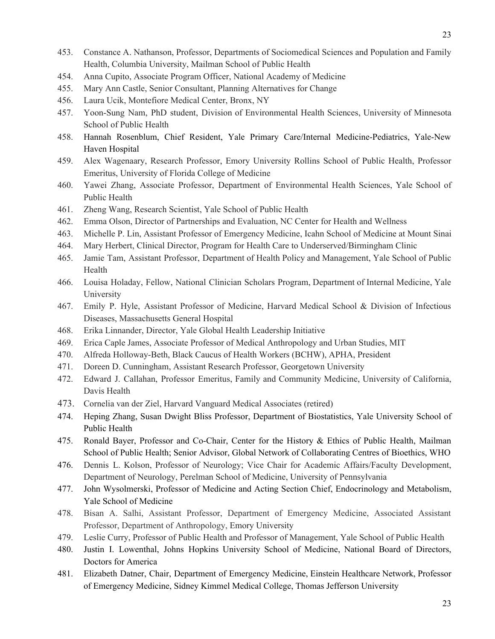- 453. Constance A. Nathanson, Professor, Departments of Sociomedical Sciences and Population and Family Health, Columbia University, Mailman School of Public Health
- 454. Anna Cupito, Associate Program Officer, National Academy of Medicine
- 455. Mary Ann Castle, Senior Consultant, Planning Alternatives for Change
- 456. Laura Ucik, Montefiore Medical Center, Bronx, NY
- 457. Yoon-Sung Nam, PhD student, Division of Environmental Health Sciences, University of Minnesota School of Public Health
- 458. Hannah Rosenblum, Chief Resident, Yale Primary Care/Internal Medicine-Pediatrics, Yale-New Haven Hospital
- 459. Alex Wagenaary, Research Professor, Emory University Rollins School of Public Health, Professor Emeritus, University of Florida College of Medicine
- 460. Yawei Zhang, Associate Professor, Department of Environmental Health Sciences, Yale School of Public Health
- 461. Zheng Wang, Research Scientist, Yale School of Public Health
- 462. Emma Olson, Director of Partnerships and Evaluation, NC Center for Health and Wellness
- 463. Michelle P. Lin, Assistant Professor of Emergency Medicine, Icahn School of Medicine at Mount Sinai
- 464. Mary Herbert, Clinical Director, Program for Health Care to Underserved/Birmingham Clinic
- 465. Jamie Tam, Assistant Professor, Department of Health Policy and Management, Yale School of Public Health
- 466. Louisa Holaday, Fellow, National Clinician Scholars Program, Department of Internal Medicine, Yale University
- 467. Emily P. Hyle, Assistant Professor of Medicine, Harvard Medical School & Division of Infectious Diseases, Massachusetts General Hospital
- 468. Erika Linnander, Director, Yale Global Health Leadership Initiative
- 469. Erica Caple James, Associate Professor of Medical Anthropology and Urban Studies, MIT
- 470. Alfreda Holloway-Beth, Black Caucus of Health Workers (BCHW), APHA, President
- 471. Doreen D. Cunningham, Assistant Research Professor, Georgetown University
- 472. Edward J. Callahan, Professor Emeritus, Family and Community Medicine, University of California, Davis Health
- 473. Cornelia van der Ziel, Harvard Vanguard Medical Associates (retired)
- 474. Heping Zhang, Susan Dwight Bliss Professor, Department of Biostatistics, Yale University School of Public Health
- 475. Ronald Bayer, Professor and Co-Chair, Center for the History & Ethics of Public Health, Mailman School of Public Health; Senior Advisor, Global Network of Collaborating Centres of Bioethics, WHO
- 476. Dennis L. Kolson, Professor of Neurology; Vice Chair for Academic Affairs/Faculty Development, Department of Neurology, Perelman School of Medicine, University of Pennsylvania
- 477. John Wysolmerski, Professor of Medicine and Acting Section Chief, Endocrinology and Metabolism, Yale School of Medicine
- 478. Bisan A. Salhi, Assistant Professor, Department of Emergency Medicine, Associated Assistant Professor, Department of Anthropology, Emory University
- 479. Leslie Curry, Professor of Public Health and Professor of Management, Yale School of Public Health
- 480. Justin I. Lowenthal, Johns Hopkins University School of Medicine, National Board of Directors, Doctors for America
- 481. Elizabeth Datner, Chair, Department of Emergency Medicine, Einstein Healthcare Network, Professor of Emergency Medicine, Sidney Kimmel Medical College, Thomas Jefferson University